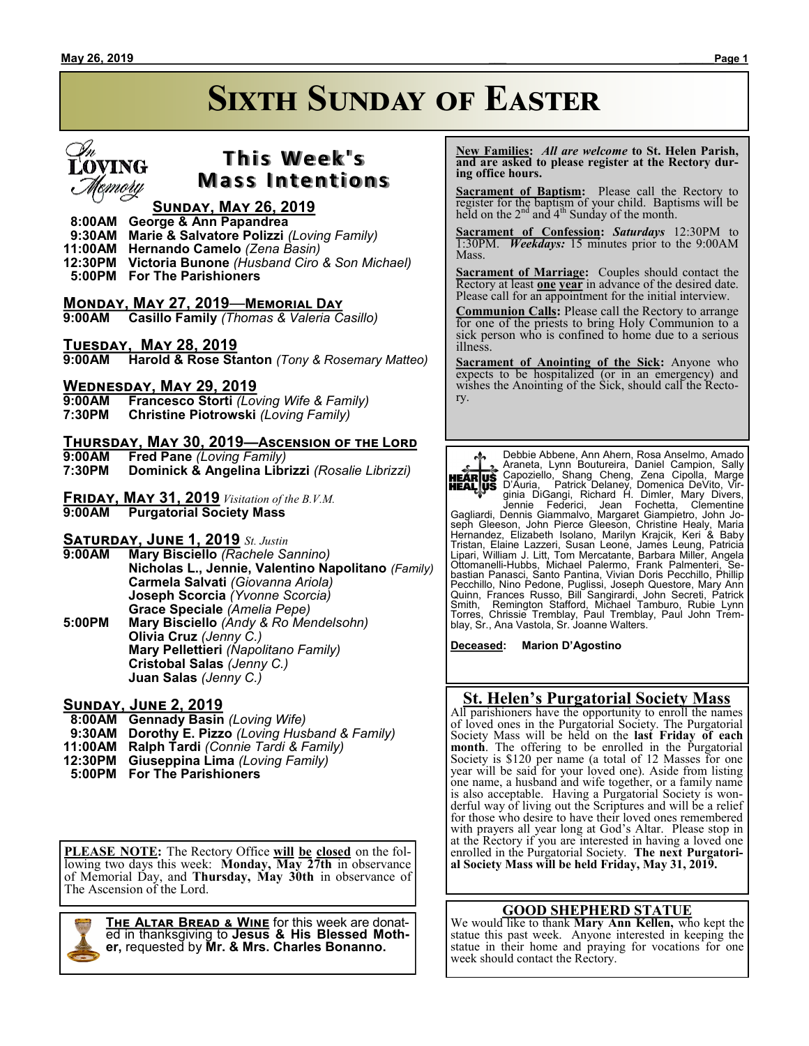# **Sixth Sunday of Easter**



### **T h i s We e k ' s Mass Intentions**

### **Sunday, May 26, 2019**

 **8:00AM George & Ann Papandrea**

**Marie & Salvatore Polizzi** *(Loving Family)* 

- **11:00AM Hernando Camelo** *(Zena Basin)*
- **12:30PM Victoria Bunone** *(Husband Ciro & Son Michael)*  **5:00PM For The Parishioners**

### **Monday, May 27, 2019**—**Memorial Day**

**9:00AM Casillo Family** *(Thomas & Valeria Casillo)*

### **Tuesday, May 28, 2019**

**9:00AM Harold & Rose Stanton** *(Tony & Rosemary Matteo)*

## **Wednesday, May 29, 2019**

**9:00AM Francesco Storti** *(Loving Wife & Family)*

- **7:30PM Christine Piotrowski** *(Loving Family)*
- **Thursday, May 30, 2019—Ascension of the Lord 9:00AM Fred Pane** *(Loving Family)*
- **7:30PM Dominick & Angelina Librizzi** *(Rosalie Librizzi)*
- **Friday, May 31, 2019** *Visitation of the B.V.M.* **9:00AM Purgatorial Society Mass**

### **Saturday, June 1, 2019** *St. Justin*

**9:00AM Mary Bisciello** *(Rachele Sannino)* **Nicholas L., Jennie, Valentino Napolitano** *(Family)* **Carmela Salvati** *(Giovanna Ariola)* **Joseph Scorcia** *(Yvonne Scorcia)* **Grace Speciale** *(Amelia Pepe)* **5:00PM Mary Bisciello** *(Andy & Ro Mendelsohn)* **Olivia Cruz** *(Jenny C.)*

**Mary Pellettieri** *(Napolitano Family)* **Cristobal Salas** *(Jenny C.)* **Juan Salas** *(Jenny C.)*

### **Sunday, June 2, 2019**

- **8:00AM Gennady Basin** *(Loving Wife)*
- **9:30AM Dorothy E. Pizzo** *(Loving Husband & Family)*
- **11:00AM Ralph Tardi** *(Connie Tardi & Family)*
- **12:30PM Giuseppina Lima** *(Loving Family)*
- **5:00PM For The Parishioners**

**PLEASE NOTE:** The Rectory Office **will be closed** on the following two days this week: **Monday, May 27th** in observance of Memorial Day, and **Thursday, May 30th** in observance of The Ascension of the Lord.



**The Altar Bread & Wine** for this week are donated in thanksgiving to **Jesus & His Blessed Mother,** requested by **Mr. & Mrs. Charles Bonanno.**

 **New Families:** *All are welcome* **to St. Helen Parish, and are asked to please register at the Rectory during office hours.**

**Sacrament of Baptism:**Please call the Rectory to register for the baptism of your child. Baptisms will be held on the  $2<sup>nd</sup>$  and  $4<sup>th</sup>$  Sunday of the month.

**Sacrament of Confession:** *Saturdays* 12:30PM to 1:30PM. *Weekdays:* 15 minutes prior to the 9:00AM Mass.

**Sacrament of Marriage:**Couples should contact the Rectory at least **one year** in advance of the desired date. Please call for an appointment for the initial interview.

**Communion Calls:** Please call the Rectory to arrange for one of the priests to bring Holy Communion to a sick person who is confined to home due to a serious illness.

**Sacrament of Anointing of the Sick:** Anyone who expects to be hospitalized (or in an emergency) and wishes the Anointing of the Sick, should call the Rectory.



Debbie Abbene, Ann Ahern, Rosa Anselmo, Amado<br>
Araneta, Lynn Boutureira, Daniel Campion, Sally<br> **HEALUS** Capoziello, Shang Cheng, Zena Cipolla, Marge<br> **HEALUS** D'Auria, Patrick Delaney, Domenica DeVito, Virginia DiGangi, R seph Gleeson, John Pierce Gleeson, Christine Healy, Maria<br>Hernandez, Elizabeth Isolano, Marilyn Krajcik, Keri & Baby<br>Tristan, Elaine Lazzeri, Susan Leone, James Leung, Patricia<br>Lipari, William J. Litt, Tom Mercatante, Barb

**Deceased: Marion D'Agostino**

### **St. Helen's Purgatorial Society Mass**

All parishioners have the opportunity to enroll the names of loved ones in the Purgatorial Society. The Purgatorial Society Mass will be held on the **last Friday of each month**. The offering to be enrolled in the Purgatorial Society is \$120 per name (a total of 12 Masses for one year will be said for your loved one). Aside from listing one name, a husband and wife together, or a family name is also acceptable. Having a Purgatorial Society is wonderful way of living out the Scriptures and will be a relief for those who desire to have their loved ones remembered with prayers all year long at God's Altar. Please stop in at the Rectory if you are interested in having a loved one enrolled in the Purgatorial Society. **The next Purgatorial Society Mass will be held Friday, May 31, 2019.**

### **GOOD SHEPHERD STATUE**

We would like to thank **Mary Ann Kellen,** who kept the statue this past week. Anyone interested in keeping the statue in their home and praying for vocations for one week should contact the Rectory.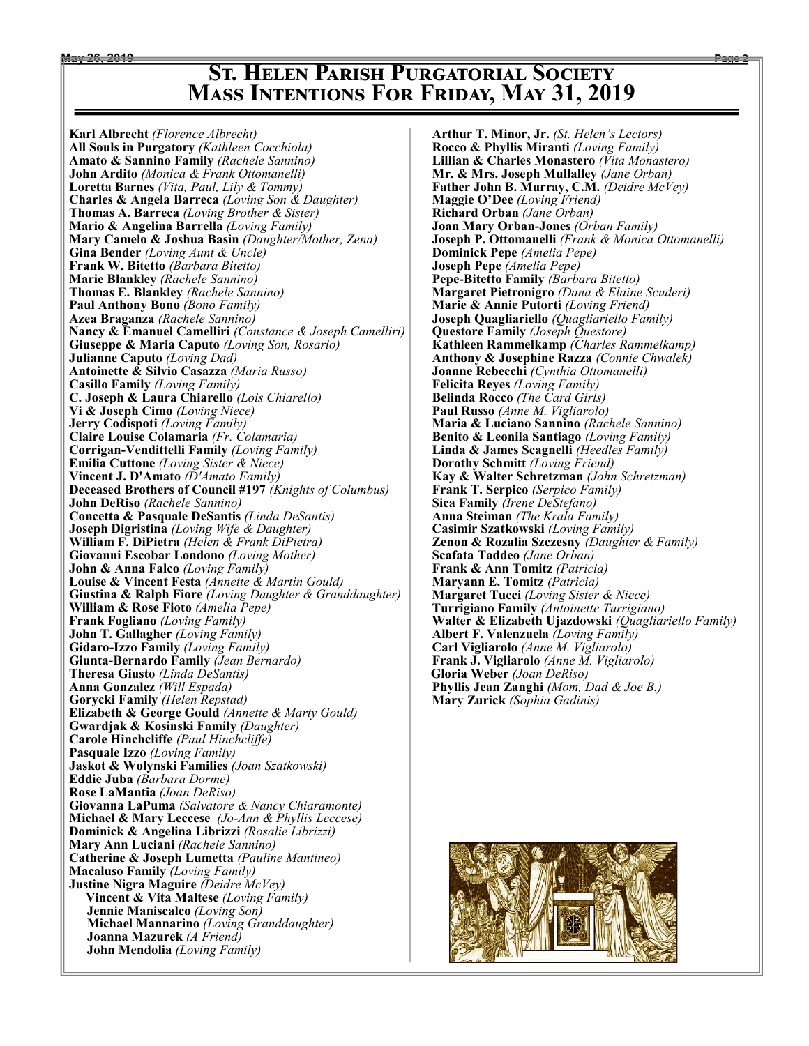## **May 26, 2019 \_\_\_ \_\_\_\_\_\_Page 2 St. Helen Parish Purgatorial Society Mass Intentions For Friday, May 31, 2019**

**Karl Albrecht** *(Florence Albrecht)* **All Souls in Purgatory** *(Kathleen Cocchiola)* **Amato & Sannino Family** *(Rachele Sannino)* **John Ardito** *(Monica & Frank Ottomanelli)* **Loretta Barnes** *(Vita, Paul, Lily & Tommy)* **Charles & Angela Barreca** *(Loving Son & Daughter)* **Thomas A. Barreca** *(Loving Brother & Sister)* **Mario & Angelina Barrella** *(Loving Family)* **Mary Camelo & Joshua Basin** *(Daughter/Mother, Zena)* **Gina Bender** *(Loving Aunt & Uncle)* **Frank W. Bitetto** *(Barbara Bitetto)* **Marie Blankley** *(Rachele Sannino)* **Thomas E. Blankley** *(Rachele Sannino)* **Paul Anthony Bono** *(Bono Family)* **Azea Braganza** *(Rachele Sannino)* **Nancy & Emanuel Camelliri** *(Constance & Joseph Camelliri)* **Giuseppe & Maria Caputo** *(Loving Son, Rosario)* **Julianne Caputo** *(Loving Dad)* **Antoinette & Silvio Casazza** *(Maria Russo)* **Casillo Family** *(Loving Family)* **C. Joseph & Laura Chiarello** *(Lois Chiarello)* **Vi & Joseph Cimo** *(Loving Niece)* **Jerry Codispoti** *(Loving Family)* **Claire Louise Colamaria** *(Fr. Colamaria)* **Corrigan-Vendittelli Family** *(Loving Family)* **Emilia Cuttone** *(Loving Sister & Niece)* **Vincent J. D'Amato** *(D'Amato Family)* **Deceased Brothers of Council #197** *(Knights of Columbus)* **John DeRiso** *(Rachele Sannino)* **Concetta & Pasquale DeSantis** *(Linda DeSantis)* **Joseph Digristina** *(Loving Wife & Daughter)* **William F. DiPietra** *(Helen & Frank DiPietra)* **Giovanni Escobar Londono** *(Loving Mother)* **John & Anna Falco** *(Loving Family)* **Louise & Vincent Festa** *(Annette & Martin Gould)* **Giustina & Ralph Fiore** *(Loving Daughter & Granddaughter)* **William & Rose Fioto** *(Amelia Pepe)* **Frank Fogliano** *(Loving Family)* **John T. Gallagher** *(Loving Family)* **Gidaro-Izzo Family** *(Loving Family)* **Giunta-Bernardo Family** *(Jean Bernardo)* **Theresa Giusto** *(Linda DeSantis)* **Anna Gonzalez** *(Will Espada)* **Gorycki Family** *(Helen Repstad)* **Elizabeth & George Gould** *(Annette & Marty Gould)* **Gwardjak & Kosinski Family** *(Daughter)* **Carole Hinchcliffe** *(Paul Hinchcliffe)* **Pasquale Izzo** *(Loving Family)* **Jaskot & Wolynski Families** *(Joan Szatkowski)* **Eddie Juba** *(Barbara Dorme)* **Rose LaMantia** *(Joan DeRiso)* **Giovanna LaPuma** *(Salvatore & Nancy Chiaramonte)* **Michael & Mary Leccese** *(Jo-Ann & Phyllis Leccese)* **Dominick & Angelina Librizzi** *(Rosalie Librizzi)* **Mary Ann Luciani** *(Rachele Sannino)* **Catherine & Joseph Lumetta** *(Pauline Mantineo)* **Macaluso Family** *(Loving Family)* **Justine Nigra Maguire** *(Deidre McVey)*  **Vincent & Vita Maltese** *(Loving Family)* **Jennie Maniscalco** *(Loving Son)* **Michael Mannarino** *(Loving Granddaughter)* **Joanna Mazurek** *(A Friend)* **John Mendolia** *(Loving Family)*

**Arthur T. Minor, Jr.** *(St. Helen's Lectors)* **Rocco & Phyllis Miranti** *(Loving Family)* **Lillian & Charles Monastero** *(Vita Monastero)* **Mr. & Mrs. Joseph Mullalley** *(Jane Orban)* **Father John B. Murray, C.M.** *(Deidre McVey)* **Maggie O'Dee** *(Loving Friend)* **Richard Orban** *(Jane Orban)* **Joan Mary Orban-Jones** *(Orban Family)* **Joseph P. Ottomanelli** *(Frank & Monica Ottomanelli)* **Dominick Pepe** *(Amelia Pepe)* **Joseph Pepe** *(Amelia Pepe)* **Pepe-Bitetto Family** *(Barbara Bitetto)* **Margaret Pietronigro** *(Dana & Elaine Scuderi)* **Marie & Annie Putorti** *(Loving Friend)* **Joseph Quagliariello** *(Quagliariello Family)* **Questore Family** *(Joseph Questore)* **Kathleen Rammelkamp** *(Charles Rammelkamp)* **Anthony & Josephine Razza** *(Connie Chwalek)* **Joanne Rebecchi** *(Cynthia Ottomanelli)* **Felicita Reyes** *(Loving Family)* **Belinda Rocco** *(The Card Girls)* **Paul Russo** *(Anne M. Vigliarolo)* **Maria & Luciano Sannino** *(Rachele Sannino)* **Benito & Leonila Santiago** *(Loving Family)* **Linda & James Scagnelli** *(Heedles Family)* **Dorothy Schmitt** *(Loving Friend)* **Kay & Walter Schretzman** *(John Schretzman)* **Frank T. Serpico** *(Serpico Family)* **Sica Family** *(Irene DeStefano)* **Anna Steiman** *(The Krala Family)* **Casimir Szatkowski** *(Loving Family)* **Zenon & Rozalia Szczesny** *(Daughter & Family)* **Scafata Taddeo** *(Jane Orban)* **Frank & Ann Tomitz** *(Patricia)* **Maryann E. Tomitz** *(Patricia)* **Margaret Tucci** *(Loving Sister & Niece)* **Turrigiano Family** *(Antoinette Turrigiano)* **Walter & Elizabeth Ujazdowski** *(Quagliariello Family)* **Albert F. Valenzuela** *(Loving Family)* **Carl Vigliarolo** *(Anne M. Vigliarolo)* **Frank J. Vigliarolo** *(Anne M. Vigliarolo)*  **Gloria Weber** *(Joan DeRiso)* **Phyllis Jean Zanghi** *(Mom, Dad & Joe B.)* **Mary Zurick** *(Sophia Gadinis)*

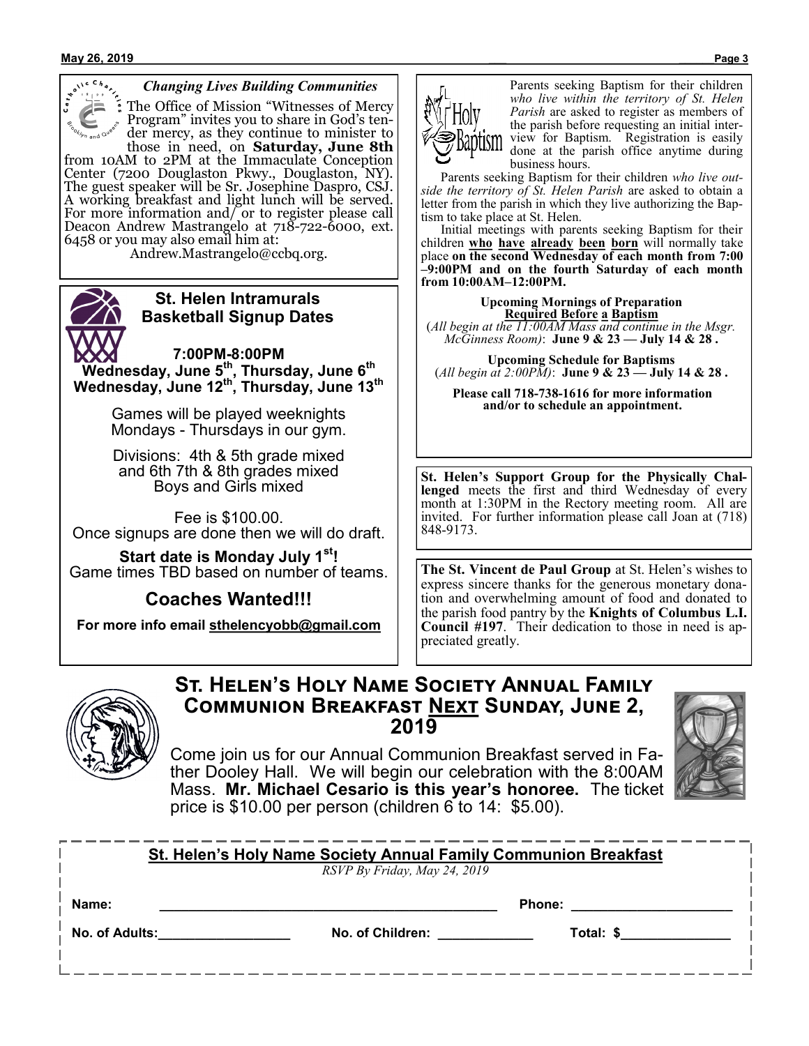

### *Changing Lives Building Communities*

The Office of Mission "Witnesses of Mercy" Program" invites you to share in God's tender mercy, as they continue to minister to those in need, on **Saturday, June 8th**

from 10AM to 2PM at the Immaculate Conception Center (7200 Douglaston Pkwy., Douglaston, NY). The guest speaker will be Sr. Josephine Daspro, CSJ. A working breakfast and light lunch will be served. For more information and/ or to register please call Deacon Andrew Mastrangelo at 718-722-6000, ext. 6458 or you may also email him at:

Andrew.Mastrangelo@ccbq.org.



### **St. Helen Intramurals Basketball Signup Dates**

**7:00PM-8:00PM Wednesday, June 5th, Thursday, June 6th Wednesday, June 12th, Thursday, June 13th**

> Games will be played weeknights Mondays - Thursdays in our gym.

Divisions: 4th & 5th grade mixed and 6th 7th & 8th grades mixed Boys and Girls mixed

Fee is \$100.00. Once signups are done then we will do draft.

**Start date is Monday July 1st!** Game times TBD based on number of teams.

**Coaches Wanted!!!**

**For more info email sthelencyobb@gmail.com**



Parents seeking Baptism for their children *who live within the territory of St. Helen Parish* are asked to register as members of the parish before requesting an initial interview for Baptism. Registration is easily done at the parish office anytime during business hours.

 Parents seeking Baptism for their children *who live outside the territory of St. Helen Parish* are asked to obtain a letter from the parish in which they live authorizing the Baptism to take place at St. Helen.

 Initial meetings with parents seeking Baptism for their children **who have already been born** will normally take place **on the second Wednesday of each month from 7:00 –9:00PM and on the fourth Saturday of each month from 10:00AM–12:00PM.**

**Upcoming Mornings of Preparation Required Before a Baptism** (*All begin at the 11:00AM Mass and continue in the Msgr. McGinness Room)*: **June 9 & 23 — July 14 & 28 .**

**Upcoming Schedule for Baptisms** (*All begin at 2:00PM)*: **June 9 & 23 — July 14 & 28 .**

**Please call 718-738-1616 for more information and/or to schedule an appointment.**

**St. Helen's Support Group for the Physically Challenged** meets the first and third Wednesday of every month at 1:30PM in the Rectory meeting room. All are invited. For further information please call Joan at (718) 848-9173.

**The St. Vincent de Paul Group** at St. Helen's wishes to express sincere thanks for the generous monetary donation and overwhelming amount of food and donated to the parish food pantry by the **Knights of Columbus L.I. Council #197**. Their dedication to those in need is appreciated greatly.



### **St. Helen's Holy Name Society Annual Family Communion Breakfast Next Sunday, June 2, 2019**

Come join us for our Annual Communion Breakfast served in Father Dooley Hall. We will begin our celebration with the 8:00AM Mass. **Mr. Michael Cesario is this year's honoree.** The ticket price is \$10.00 per person (children 6 to 14: \$5.00).

| <b>St. Helen's Holy Name Society Annual Family Communion Breakfast</b><br>RSVP By Friday, May 24, 2019 |                  |               |
|--------------------------------------------------------------------------------------------------------|------------------|---------------|
| Name:                                                                                                  |                  | <b>Phone:</b> |
| No. of Adults:                                                                                         | No. of Children: | Total: \$     |
|                                                                                                        |                  |               |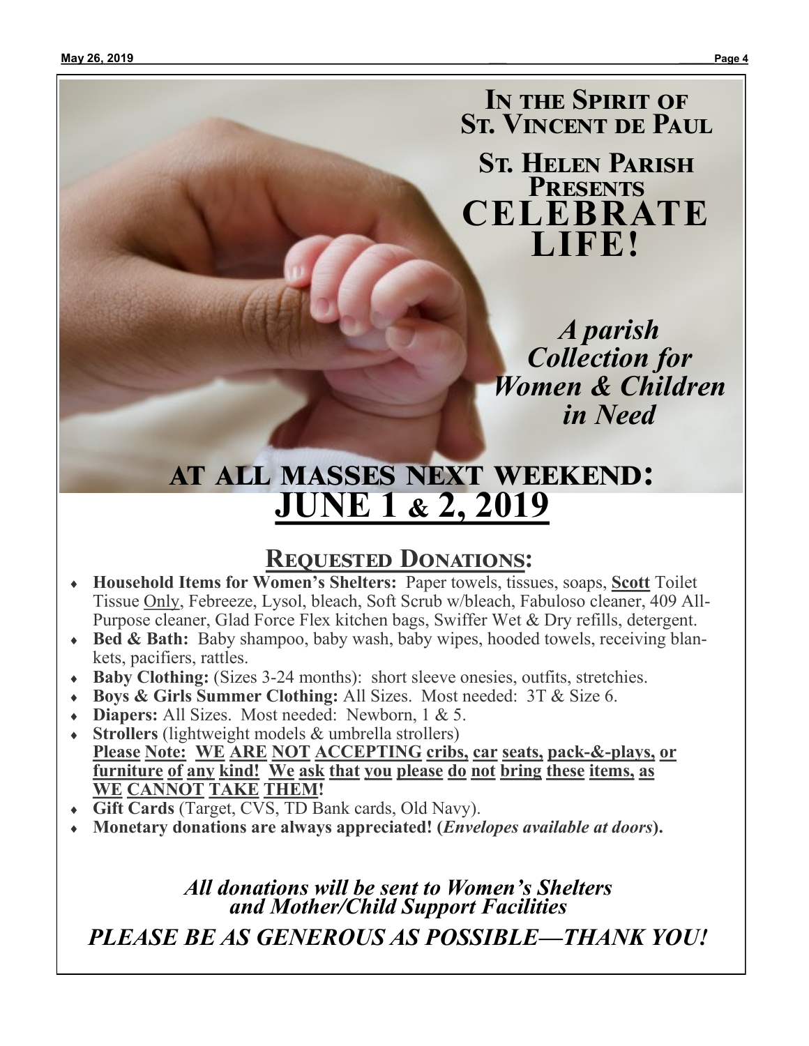**In the Spirit of St. Vincent de Paul**

**St. Helen Parish Presents CELEBRATE LIFE!**

> *A parish Collection for Women & Children in Need*

# **at all masses next weekend: JUNE 1 & 2, 2019**

# **Requested Donations:**

- **Household Items for Women's Shelters:**Paper towels, tissues, soaps, **Scott** Toilet Tissue Only, Febreeze, Lysol, bleach, Soft Scrub w/bleach, Fabuloso cleaner, 409 All-Purpose cleaner, Glad Force Flex kitchen bags, Swiffer Wet & Dry refills, detergent.
- **Bed & Bath:** Baby shampoo, baby wash, baby wipes, hooded towels, receiving blankets, pacifiers, rattles.
- **Baby Clothing:** (Sizes 3-24 months): short sleeve onesies, outfits, stretchies.
- **Boys & Girls Summer Clothing:** All Sizes. Most needed: 3T & Size 6.
- **Diapers:** All Sizes. Most needed: Newborn, 1 & 5.
- **Strollers** (lightweight models & umbrella strollers) **Please Note: WE ARE NOT ACCEPTING cribs, car seats, pack-&-plays, or furniture of any kind! We ask that you please do not bring these items, as WE CANNOT TAKE THEM!**
- **Gift Cards** (Target, CVS, TD Bank cards, Old Navy).
- **Monetary donations are always appreciated! (***Envelopes available at doors***).**

*All donations will be sent to Women's Shelters and Mother/Child Support Facilities PLEASE BE AS GENEROUS AS POSSIBLE—THANK YOU!*